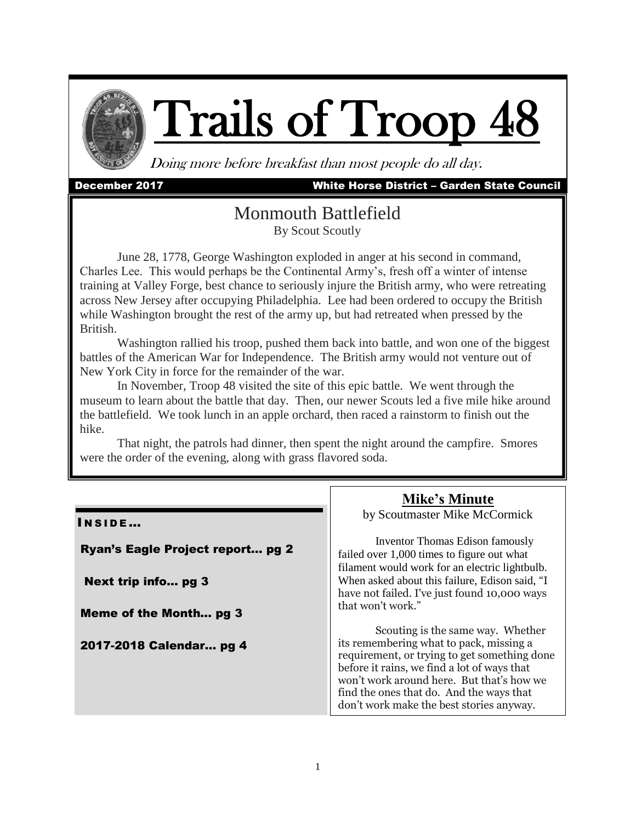

# Trails of Troop

Doing more before breakfast than most people do all day.

#### December 2017 White Horse District – Garden State Council

### Monmouth Battlefield By Scout Scoutly

June 28, 1778, George Washington exploded in anger at his second in command, Charles Lee. This would perhaps be the Continental Army's, fresh off a winter of intense training at Valley Forge, best chance to seriously injure the British army, who were retreating across New Jersey after occupying Philadelphia. Lee had been ordered to occupy the British while Washington brought the rest of the army up, but had retreated when pressed by the British.

Washington rallied his troop, pushed them back into battle, and won one of the biggest battles of the American War for Independence. The British army would not venture out of New York City in force for the remainder of the war.

In November, Troop 48 visited the site of this epic battle. We went through the museum to learn about the battle that day. Then, our newer Scouts led a five mile hike around the battlefield. We took lunch in an apple orchard, then raced a rainstorm to finish out the hike.

That night, the patrols had dinner, then spent the night around the campfire. Smores were the order of the evening, along with grass flavored soda.

#### INSIDE...

Ryan's Eagle Project report… pg 2

Next trip info… pg 3

Meme of the Month… pg 3

2017-2018 Calendar… pg 4

**Mike's Minute** by Scoutmaster Mike McCormick

Inventor Thomas Edison famously failed over 1,000 times to figure out what filament would work for an electric lightbulb. When asked about this failure, Edison said, "I have not failed. I've just found 10,000 ways that won't work."

Scouting is the same way. Whether its remembering what to pack, missing a requirement, or trying to get something done before it rains, we find a lot of ways that won't work around here. But that's how we find the ones that do. And the ways that don't work make the best stories anyway.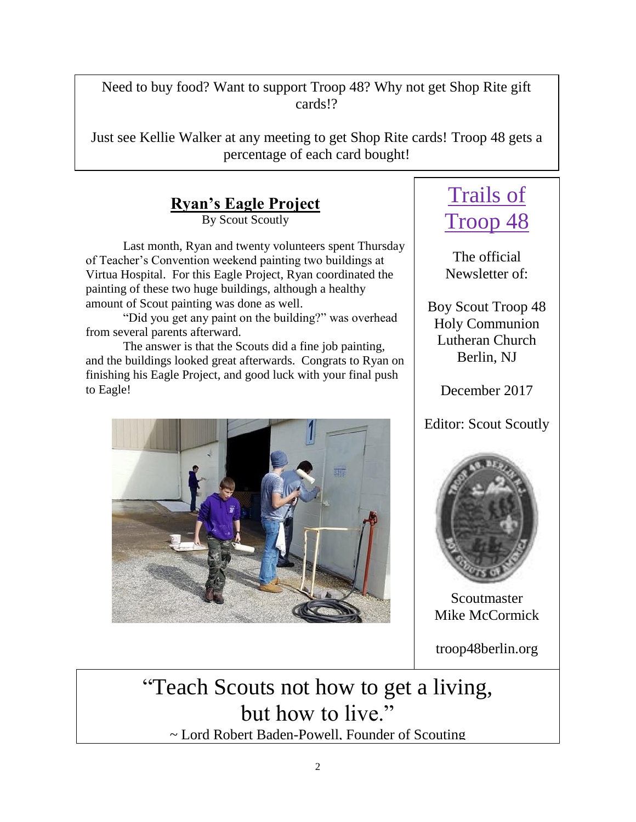Need to buy food? Want to support Troop 48? Why not get Shop Rite gift cards!?

Just see Kellie Walker at any meeting to get Shop Rite cards! Troop 48 gets a percentage of each card bought!

**Ryan's Eagle Project**

By Scout Scoutly

Last month, Ryan and twenty volunteers spent Thursday of Teacher's Convention weekend painting two buildings at Virtua Hospital. For this Eagle Project, Ryan coordinated the painting of these two huge buildings, although a healthy amount of Scout painting was done as well.

"Did you get any paint on the building?" was overhead from several parents afterward.

The answer is that the Scouts did a fine job painting, and the buildings looked great afterwards. Congrats to Ryan on finishing his Eagle Project, and good luck with your final push to Eagle!



# Trails of Troop 48

The official Newsletter of:

Boy Scout Troop 48 Holy Communion Lutheran Church Berlin, NJ

December 2017

Editor: Scout Scoutly



Scoutmaster Mike McCormick

troop48berlin.org

"Teach Scouts not how to get a living, but how to live." ~ Lord Robert Baden-Powell, Founder of Scouting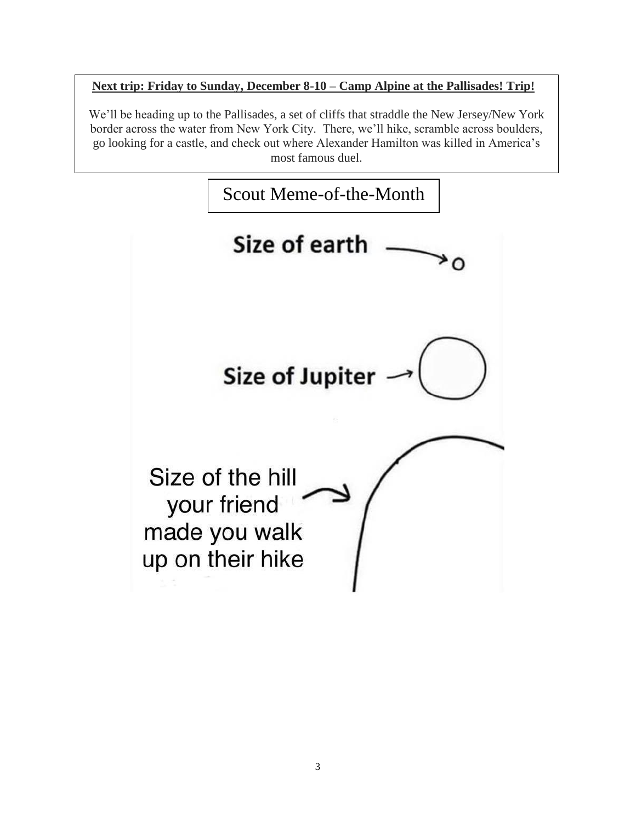#### **Next trip: Friday to Sunday, December 8-10 – Camp Alpine at the Pallisades! Trip!**

We'll be heading up to the Pallisades, a set of cliffs that straddle the New Jersey/New York border across the water from New York City. There, we'll hike, scramble across boulders, go looking for a castle, and check out where Alexander Hamilton was killed in America's most famous duel.